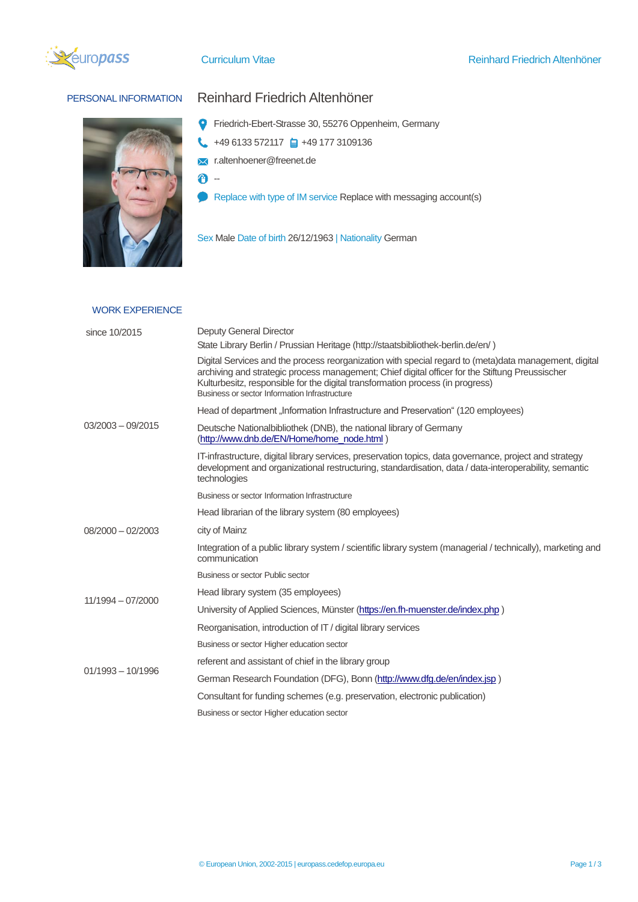



## PERSONAL INFORMATION Reinhard Friedrich Altenhöner

- Friedrich-Ebert-Strasse 30, 55276 Oppenheim, Germany
- $\leftarrow$  +49 6133 572117  $\leftarrow$  +49 177 3109136
- **X** r.altenhoener@freenet.de
- $\theta$  -
- Replace with type of IM service Replace with messaging account(s)
- Sex Male Date of birth 26/12/1963 | Nationality German

## WORK EXPERIENCE

| since 10/2015       | Deputy General Director                                                                                                                                                                                                                                                                                                                     |  |  |  |  |
|---------------------|---------------------------------------------------------------------------------------------------------------------------------------------------------------------------------------------------------------------------------------------------------------------------------------------------------------------------------------------|--|--|--|--|
|                     | State Library Berlin / Prussian Heritage (http://staatsbibliothek-berlin.de/en/)                                                                                                                                                                                                                                                            |  |  |  |  |
| $03/2003 - 09/2015$ | Digital Services and the process reorganization with special regard to (meta)data management, digital<br>archiving and strategic process management; Chief digital officer for the Stiftung Preussischer<br>Kulturbesitz, responsible for the digital transformation process (in progress)<br>Business or sector Information Infrastructure |  |  |  |  |
|                     | Head of department "Information Infrastructure and Preservation" (120 employees)                                                                                                                                                                                                                                                            |  |  |  |  |
|                     | Deutsche Nationalbibliothek (DNB), the national library of Germany<br>(http://www.dnb.de/EN/Home/home_node.html)                                                                                                                                                                                                                            |  |  |  |  |
|                     | IT-infrastructure, digital library services, preservation topics, data governance, project and strategy<br>development and organizational restructuring, standardisation, data / data-interoperability, semantic<br>technologies                                                                                                            |  |  |  |  |
|                     | Business or sector Information Infrastructure                                                                                                                                                                                                                                                                                               |  |  |  |  |
|                     | Head librarian of the library system (80 employees)                                                                                                                                                                                                                                                                                         |  |  |  |  |
| $08/2000 - 02/2003$ | city of Mainz                                                                                                                                                                                                                                                                                                                               |  |  |  |  |
|                     | Integration of a public library system / scientific library system (managerial / technically), marketing and<br>communication                                                                                                                                                                                                               |  |  |  |  |
|                     | Business or sector Public sector                                                                                                                                                                                                                                                                                                            |  |  |  |  |
| 11/1994 - 07/2000   | Head library system (35 employees)                                                                                                                                                                                                                                                                                                          |  |  |  |  |
|                     | University of Applied Sciences, Münster (https://en.fh-muenster.de/index.php)                                                                                                                                                                                                                                                               |  |  |  |  |
|                     | Reorganisation, introduction of IT / digital library services                                                                                                                                                                                                                                                                               |  |  |  |  |
|                     | Business or sector Higher education sector                                                                                                                                                                                                                                                                                                  |  |  |  |  |
| $01/1993 - 10/1996$ | referent and assistant of chief in the library group                                                                                                                                                                                                                                                                                        |  |  |  |  |
|                     | German Research Foundation (DFG), Bonn (http://www.dfg.de/en/index.jsp)                                                                                                                                                                                                                                                                     |  |  |  |  |
|                     | Consultant for funding schemes (e.g. preservation, electronic publication)                                                                                                                                                                                                                                                                  |  |  |  |  |
|                     | Business or sector Higher education sector                                                                                                                                                                                                                                                                                                  |  |  |  |  |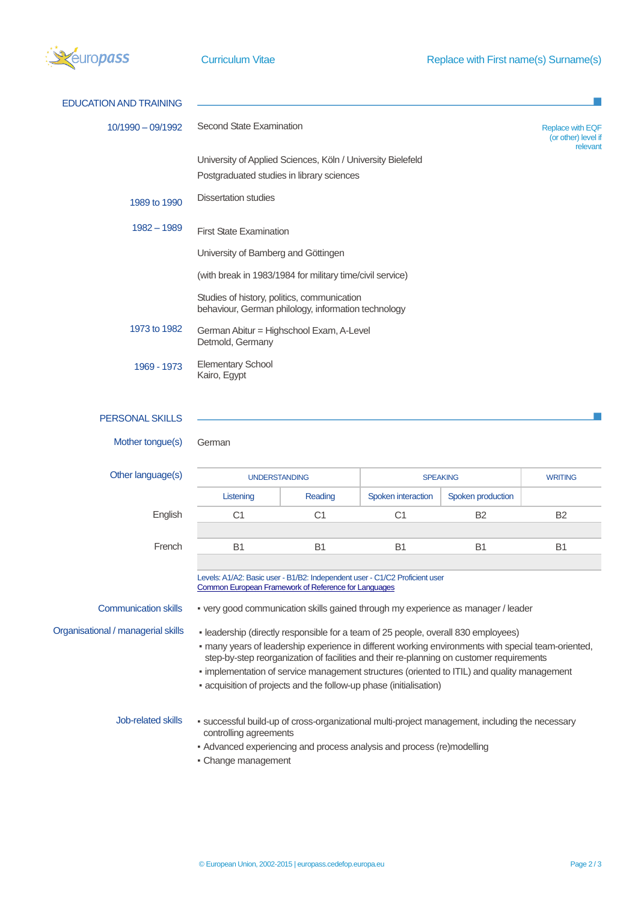

| Second State Examination<br>$10/1990 - 09/1992$<br>University of Applied Sciences, Köln / University Bielefeld<br>Postgraduated studies in library sciences<br><b>Dissertation studies</b><br>1989 to 1990<br>$1982 - 1989$<br><b>First State Examination</b><br>University of Bamberg and Göttingen<br>(with break in 1983/1984 for military time/civil service)<br>Studies of history, politics, communication<br>behaviour, German philology, information technology<br>1973 to 1982<br>German Abitur = Highschool Exam, A-Level<br>Detmold, Germany<br><b>Elementary School</b><br>1969 - 1973<br>Kairo, Egypt<br>PERSONAL SKILLS<br>Mother tongue(s)<br>German<br>Other language(s) | <b>Replace with EQF</b><br>(or other) level if<br>relevant                                                                                                                                                                                                                                     |  |  |  |  |  |  |  |
|------------------------------------------------------------------------------------------------------------------------------------------------------------------------------------------------------------------------------------------------------------------------------------------------------------------------------------------------------------------------------------------------------------------------------------------------------------------------------------------------------------------------------------------------------------------------------------------------------------------------------------------------------------------------------------------|------------------------------------------------------------------------------------------------------------------------------------------------------------------------------------------------------------------------------------------------------------------------------------------------|--|--|--|--|--|--|--|
|                                                                                                                                                                                                                                                                                                                                                                                                                                                                                                                                                                                                                                                                                          |                                                                                                                                                                                                                                                                                                |  |  |  |  |  |  |  |
|                                                                                                                                                                                                                                                                                                                                                                                                                                                                                                                                                                                                                                                                                          |                                                                                                                                                                                                                                                                                                |  |  |  |  |  |  |  |
|                                                                                                                                                                                                                                                                                                                                                                                                                                                                                                                                                                                                                                                                                          |                                                                                                                                                                                                                                                                                                |  |  |  |  |  |  |  |
|                                                                                                                                                                                                                                                                                                                                                                                                                                                                                                                                                                                                                                                                                          |                                                                                                                                                                                                                                                                                                |  |  |  |  |  |  |  |
|                                                                                                                                                                                                                                                                                                                                                                                                                                                                                                                                                                                                                                                                                          |                                                                                                                                                                                                                                                                                                |  |  |  |  |  |  |  |
|                                                                                                                                                                                                                                                                                                                                                                                                                                                                                                                                                                                                                                                                                          |                                                                                                                                                                                                                                                                                                |  |  |  |  |  |  |  |
|                                                                                                                                                                                                                                                                                                                                                                                                                                                                                                                                                                                                                                                                                          |                                                                                                                                                                                                                                                                                                |  |  |  |  |  |  |  |
|                                                                                                                                                                                                                                                                                                                                                                                                                                                                                                                                                                                                                                                                                          |                                                                                                                                                                                                                                                                                                |  |  |  |  |  |  |  |
|                                                                                                                                                                                                                                                                                                                                                                                                                                                                                                                                                                                                                                                                                          |                                                                                                                                                                                                                                                                                                |  |  |  |  |  |  |  |
|                                                                                                                                                                                                                                                                                                                                                                                                                                                                                                                                                                                                                                                                                          |                                                                                                                                                                                                                                                                                                |  |  |  |  |  |  |  |
|                                                                                                                                                                                                                                                                                                                                                                                                                                                                                                                                                                                                                                                                                          |                                                                                                                                                                                                                                                                                                |  |  |  |  |  |  |  |
| <b>UNDERSTANDING</b><br><b>SPEAKING</b>                                                                                                                                                                                                                                                                                                                                                                                                                                                                                                                                                                                                                                                  | <b>WRITING</b>                                                                                                                                                                                                                                                                                 |  |  |  |  |  |  |  |
| Listening<br>Reading<br>Spoken interaction<br>Spoken production                                                                                                                                                                                                                                                                                                                                                                                                                                                                                                                                                                                                                          |                                                                                                                                                                                                                                                                                                |  |  |  |  |  |  |  |
| English<br>C <sub>1</sub><br>C <sub>1</sub><br>C <sub>1</sub><br>B <sub>2</sub>                                                                                                                                                                                                                                                                                                                                                                                                                                                                                                                                                                                                          | B <sub>2</sub>                                                                                                                                                                                                                                                                                 |  |  |  |  |  |  |  |
| French<br><b>B1</b><br>B <sub>1</sub><br>B <sub>1</sub><br><b>B1</b>                                                                                                                                                                                                                                                                                                                                                                                                                                                                                                                                                                                                                     | B <sub>1</sub>                                                                                                                                                                                                                                                                                 |  |  |  |  |  |  |  |
| Levels: A1/A2: Basic user - B1/B2: Independent user - C1/C2 Proficient user<br>Common European Framework of Reference for Languages                                                                                                                                                                                                                                                                                                                                                                                                                                                                                                                                                      |                                                                                                                                                                                                                                                                                                |  |  |  |  |  |  |  |
| <b>Communication skills</b><br>. very good communication skills gained through my experience as manager / leader                                                                                                                                                                                                                                                                                                                                                                                                                                                                                                                                                                         |                                                                                                                                                                                                                                                                                                |  |  |  |  |  |  |  |
| Organisational / managerial skills<br>- leadership (directly responsible for a team of 25 people, overall 830 employees)<br>- acquisition of projects and the follow-up phase (initialisation)                                                                                                                                                                                                                                                                                                                                                                                                                                                                                           | - many years of leadership experience in different working environments with special team-oriented,<br>step-by-step reorganization of facilities and their re-planning on customer requirements<br>- implementation of service management structures (oriented to ITIL) and quality management |  |  |  |  |  |  |  |
| Job-related skills<br>controlling agreements                                                                                                                                                                                                                                                                                                                                                                                                                                                                                                                                                                                                                                             | - successful build-up of cross-organizational multi-project management, including the necessary                                                                                                                                                                                                |  |  |  |  |  |  |  |
| • Advanced experiencing and process analysis and process (re)modelling<br>Change management                                                                                                                                                                                                                                                                                                                                                                                                                                                                                                                                                                                              |                                                                                                                                                                                                                                                                                                |  |  |  |  |  |  |  |

Change management